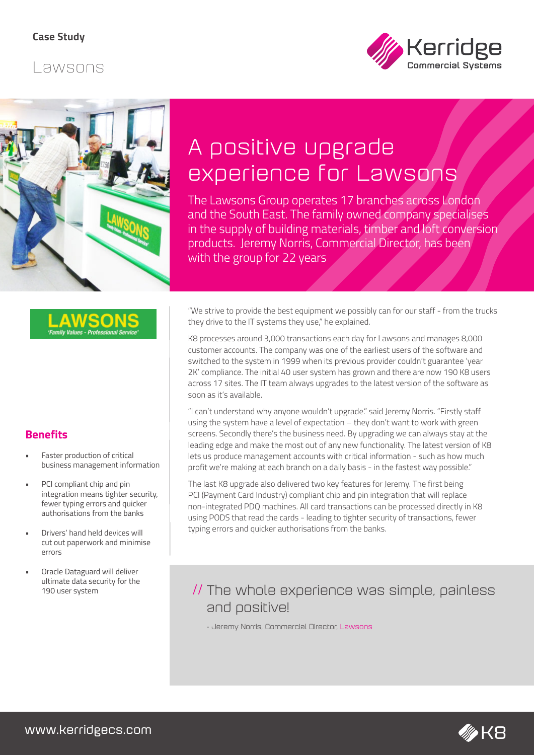## Lawsons





# A positive upgrade experience for Lawsons

The Lawsons Group operates 17 branches across London and the South East. The family owned company specialises in the supply of building materials, timber and loft conversion products. Jeremy Norris, Commercial Director, has been with the group for 22 years

## **Benefits**

- Faster production of critical business management information
- PCI compliant chip and pin integration means tighter security, fewer typing errors and quicker authorisations from the banks
- Drivers' hand held devices will cut out paperwork and minimise errors
- Oracle Dataguard will deliver ultimate data security for the

"We strive to provide the best equipment we possibly can for our staff - from the trucks they drive to the IT systems they use," he explained.

K8 processes around 3,000 transactions each day for Lawsons and manages 8,000 customer accounts. The company was one of the earliest users of the software and switched to the system in 1999 when its previous provider couldn't guarantee 'year 2K' compliance. The initial 40 user system has grown and there are now 190 K8 users across 17 sites. The IT team always upgrades to the latest version of the software as soon as it's available.

"I can't understand why anyone wouldn't upgrade." said Jeremy Norris. "Firstly staff using the system have a level of expectation – they don't want to work with green screens. Secondly there's the business need. By upgrading we can always stay at the leading edge and make the most out of any new functionality. The latest version of K8 lets us produce management accounts with critical information - such as how much profit we're making at each branch on a daily basis - in the fastest way possible."

The last K8 upgrade also delivered two key features for Jeremy. The first being PCI (Payment Card Industry) compliant chip and pin integration that will replace non-integrated PDQ machines. All card transactions can be processed directly in K8 using PODS that read the cards - leading to tighter security of transactions, fewer typing errors and quicker authorisations from the banks.

# 190 user system **The Whole experience was simple, painless** and positive!

- Jeremy Norris, Commercial Director, Lawsons